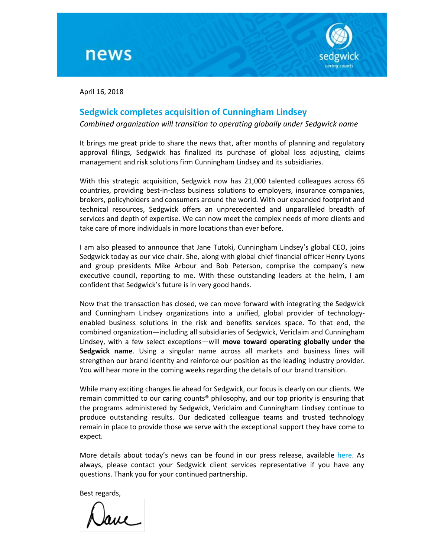



April 16, 2018

## **Sedgwick completes acquisition of Cunningham Lindsey**

*Combined organization will transition to operating globally under Sedgwick name*

It brings me great pride to share the news that, after months of planning and regulatory approval filings, Sedgwick has finalized its purchase of global loss adjusting, claims management and risk solutions firm Cunningham Lindsey and its subsidiaries.

With this strategic acquisition, Sedgwick now has 21,000 talented colleagues across 65 countries, providing best-in-class business solutions to employers, insurance companies, brokers, policyholders and consumers around the world. With our expanded footprint and technical resources, Sedgwick offers an unprecedented and unparalleled breadth of services and depth of expertise. We can now meet the complex needs of more clients and take care of more individuals in more locations than ever before.

I am also pleased to announce that Jane Tutoki, Cunningham Lindsey's global CEO, joins Sedgwick today as our vice chair. She, along with global chief financial officer Henry Lyons and group presidents Mike Arbour and Bob Peterson, comprise the company's new executive council, reporting to me. With these outstanding leaders at the helm, I am confident that Sedgwick's future is in very good hands.

Now that the transaction has closed, we can move forward with integrating the Sedgwick and Cunningham Lindsey organizations into a unified, global provider of technologyenabled business solutions in the risk and benefits services space. To that end, the combined organization—including all subsidiaries of Sedgwick, Vericlaim and Cunningham Lindsey, with a few select exceptions—will **move toward operating globally under the Sedgwick name**. Using a singular name across all markets and business lines will strengthen our brand identity and reinforce our position as the leading industry provider. You will hear more in the coming weeks regarding the details of our brand transition.

While many exciting changes lie ahead for Sedgwick, our focus is clearly on our clients. We remain committed to our caring counts® philosophy, and our top priority is ensuring that the programs administered by Sedgwick, Vericlaim and Cunningham Lindsey continue to produce outstanding results. Our dedicated colleague teams and trusted technology remain in place to provide those we serve with the exceptional support they have come to expect.

More details about today's news can be found in our press release, available [here.](http://www.sedgwick.com/global-news) As always, please contact your Sedgwick client services representative if you have any questions. Thank you for your continued partnership.

Best regards,

Jave